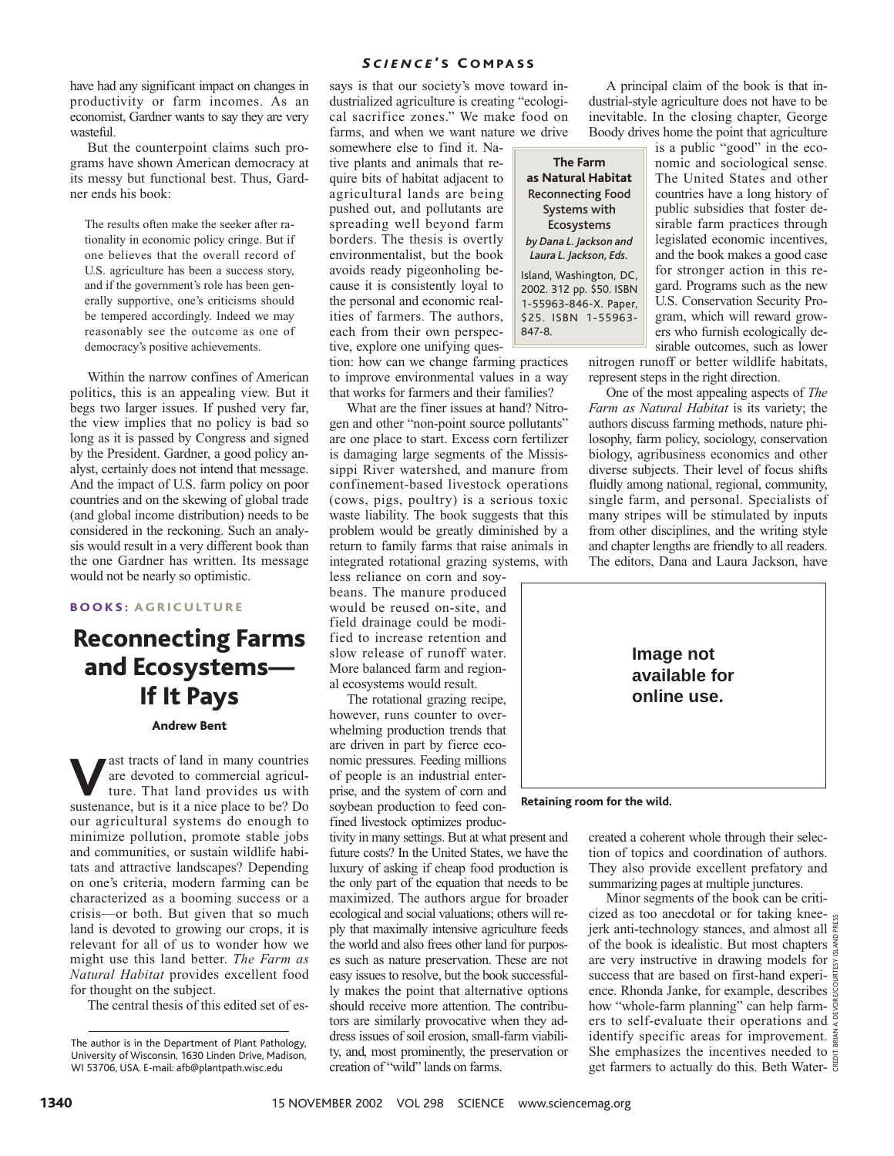#### **SCIENCE'S COMPASS**

have had any significant impact on changes in productivity or farm incomes. As an economist, Gardner wants to say they are very wasteful.

But the counterpoint claims such programs have shown American democracy at its messy but functional best. Thus, Gardner ends his book:

The results often make the seeker after rationality in economic policy cringe. But if one believes that the overall record of U.S. agriculture has been a success story, and if the government's role has been generally supportive, one's criticisms should be tempered accordingly. Indeed we may reasonably see the outcome as one of democracy's positive achievements.

Within the narrow confines of American politics, this is an appealing view. But it begs two larger issues. If pushed very far, the view implies that no policy is bad so long as it is passed by Congress and signed by the President. Gardner, a good policy analyst, certainly does not intend that message. And the impact of U.S. farm policy on poor countries and on the skewing of global trade (and global income distribution) needs to be considered in the reckoning. Such an analysis would result in a very different book than the one Gardner has written. Its message would not be nearly so optimistic.

#### BOOKS: AGRICULTURE

# Reconnecting Farms and Ecosystems— If It Pays

#### Andrew Bent

**V**ast tracts of land in many countries<br>are devoted to commercial agricul-<br>ture. That land provides us with<br>sustenance but is it a nice place to be? Do are devoted to commercial agriculture. That land provides us with sustenance, but is it a nice place to be? Do our agricultural systems do enough to minimize pollution, promote stable jobs and communities, or sustain wildlife habitats and attractive landscapes? Depending on one's criteria, modern farming can be characterized as a booming success or a crisis—or both. But given that so much land is devoted to growing our crops, it is relevant for all of us to wonder how we might use this land better. *The Farm as Natural Habitat* provides excellent food for thought on the subject.

The central thesis of this edited set of es-

says is that our society's move toward industrialized agriculture is creating "ecological sacrifice zones." We make food on farms, and when we want nature we drive

somewhere else to find it. Native plants and animals that require bits of habitat adjacent to agricultural lands are being pushed out, and pollutants are spreading well beyond farm borders. The thesis is overtly environmentalist, but the book avoids ready pigeonholing because it is consistently loyal to the personal and economic realities of farmers. The authors, each from their own perspective, explore one unifying ques-

tion: how can we change farming practices to improve environmental values in a way that works for farmers and their families?

What are the finer issues at hand? Nitrogen and other "non-point source pollutants" are one place to start. Excess corn fertilizer is damaging large segments of the Mississippi River watershed, and manure from confinement-based livestock operations (cows, pigs, poultry) is a serious toxic waste liability. The book suggests that this problem would be greatly diminished by a return to family farms that raise animals in integrated rotational grazing systems, with

less reliance on corn and soybeans. The manure produced would be reused on-site, and field drainage could be modified to increase retention and slow release of runoff water. More balanced farm and regional ecosystems would result.

The rotational grazing recipe, however, runs counter to overwhelming production trends that are driven in part by fierce economic pressures. Feeding millions of people is an industrial enterprise, and the system of corn and soybean production to feed confined livestock optimizes produc-

tivity in many settings. But at what present and future costs? In the United States, we have the luxury of asking if cheap food production is the only part of the equation that needs to be maximized. The authors argue for broader ecological and social valuations; others will reply that maximally intensive agriculture feeds the world and also frees other land for purposes such as nature preservation. These are not easy issues to resolve, but the book successfully makes the point that alternative options should receive more attention. The contributors are similarly provocative when they address issues of soil erosion, small-farm viability, and, most prominently, the preservation or creation of "wild" lands on farms.

A principal claim of the book is that industrial-style agriculture does not have to be inevitable. In the closing chapter, George Boody drives home the point that agriculture

**The Farm as Natural Habitat** Reconnecting Food Systems with Ecosystems *by Dana L. Jackson and Laura L. Jackson, Eds.* Island, Washington, DC,

2002. 312 pp. \$50. ISBN 1-55963-846-X. Paper, \$25. ISBN 1-55963- 847-8.

is a public "good" in the economic and sociological sense. The United States and other countries have a long history of public subsidies that foster desirable farm practices through legislated economic incentives, and the book makes a good case for stronger action in this regard. Programs such as the new U.S. Conservation Security Program, which will reward growers who furnish ecologically desirable outcomes, such as lower

nitrogen runoff or better wildlife habitats, represent steps in the right direction.

One of the most appealing aspects of *The Farm as Natural Habitat* is its variety; the authors discuss farming methods, nature philosophy, farm policy, sociology, conservation biology, agribusiness economics and other diverse subjects. Their level of focus shifts fluidly among national, regional, community, single farm, and personal. Specialists of many stripes will be stimulated by inputs from other disciplines, and the writing style and chapter lengths are friendly to all readers. The editors, Dana and Laura Jackson, have



**Retaining room for the wild.**

created a coherent whole through their selection of topics and coordination of authors. They also provide excellent prefatory and summarizing pages at multiple junctures.

Minor segments of the book can be criticized as too anecdotal or for taking kneejerk anti-technology stances, and almost all of the book is idealistic. But most chapters  $\frac{3}{5}$ are very instructive in drawing models for  $\frac{a}{b}$ success that are based on first-hand experience. Rhonda Janke, for example, describes how "whole-farm planning" can help farmers to self-evaluate their operations and identify specific areas for improvement.  $\frac{2}{3}$ She emphasizes the incentives needed to get farmers to actually do this. Beth Water-CREDIT: BRIAN A. DEVORE/COURTESY ISLAND PRESS

The author is in the Department of Plant Pathology, University of Wisconsin, 1630 Linden Drive, Madison, WI 53706, USA. E-mail: afb@plantpath.wisc.edu